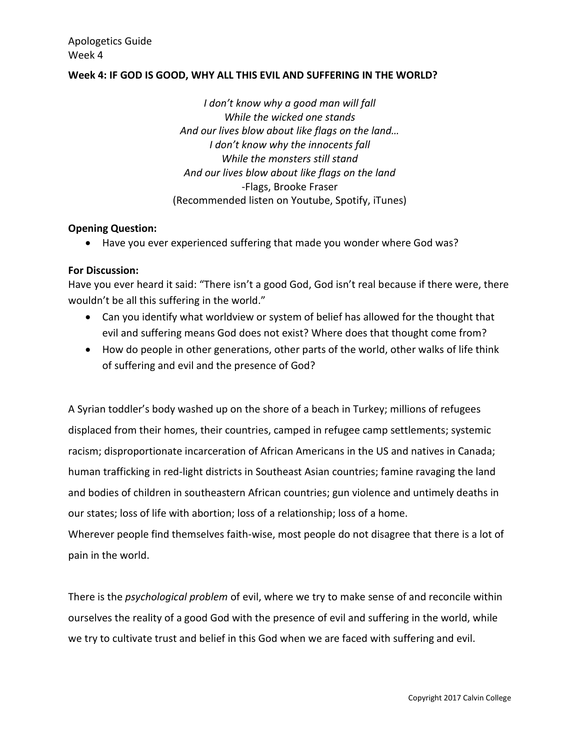### **Week 4: IF GOD IS GOOD, WHY ALL THIS EVIL AND SUFFERING IN THE WORLD?**

*I don't know why a good man will fall While the wicked one stands And our lives blow about like flags on the land… I don't know why the innocents fall While the monsters still stand And our lives blow about like flags on the land* -Flags, Brooke Fraser (Recommended listen on Youtube, Spotify, iTunes)

#### **Opening Question:**

Have you ever experienced suffering that made you wonder where God was?

### **For Discussion:**

Have you ever heard it said: "There isn't a good God, God isn't real because if there were, there wouldn't be all this suffering in the world."

- Can you identify what worldview or system of belief has allowed for the thought that evil and suffering means God does not exist? Where does that thought come from?
- How do people in other generations, other parts of the world, other walks of life think of suffering and evil and the presence of God?

A Syrian toddler's body washed up on the shore of a beach in Turkey; millions of refugees displaced from their homes, their countries, camped in refugee camp settlements; systemic racism; disproportionate incarceration of African Americans in the US and natives in Canada; human trafficking in red-light districts in Southeast Asian countries; famine ravaging the land and bodies of children in southeastern African countries; gun violence and untimely deaths in our states; loss of life with abortion; loss of a relationship; loss of a home.

Wherever people find themselves faith-wise, most people do not disagree that there is a lot of pain in the world.

There is the *psychological problem* of evil, where we try to make sense of and reconcile within ourselves the reality of a good God with the presence of evil and suffering in the world, while we try to cultivate trust and belief in this God when we are faced with suffering and evil.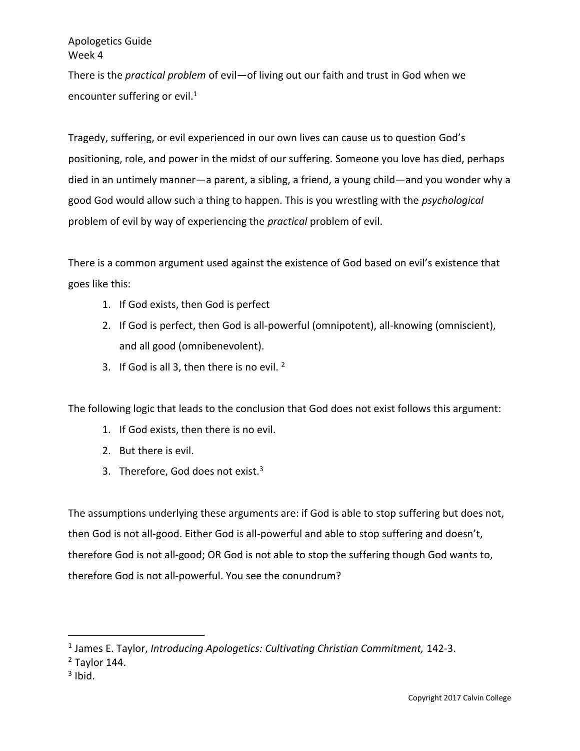There is the *practical problem* of evil—of living out our faith and trust in God when we encounter suffering or evil. $1$ 

Tragedy, suffering, or evil experienced in our own lives can cause us to question God's positioning, role, and power in the midst of our suffering. Someone you love has died, perhaps died in an untimely manner—a parent, a sibling, a friend, a young child—and you wonder why a good God would allow such a thing to happen. This is you wrestling with the *psychological*  problem of evil by way of experiencing the *practical* problem of evil.

There is a common argument used against the existence of God based on evil's existence that goes like this:

- 1. If God exists, then God is perfect
- 2. If God is perfect, then God is all-powerful (omnipotent), all-knowing (omniscient), and all good (omnibenevolent).
- 3. If God is all 3, then there is no evil.  $2^2$

The following logic that leads to the conclusion that God does not exist follows this argument:

- 1. If God exists, then there is no evil.
- 2. But there is evil.
- 3. Therefore, God does not exist. $3$

The assumptions underlying these arguments are: if God is able to stop suffering but does not, then God is not all-good. Either God is all-powerful and able to stop suffering and doesn't, therefore God is not all-good; OR God is not able to stop the suffering though God wants to, therefore God is not all-powerful. You see the conundrum?

<sup>&</sup>lt;sup>1</sup> James E. Taylor, *Introducing Apologetics: Cultivating Christian Commitment, 142-3.* 

 $2$  Taylor 144.

 $3$  Ibid.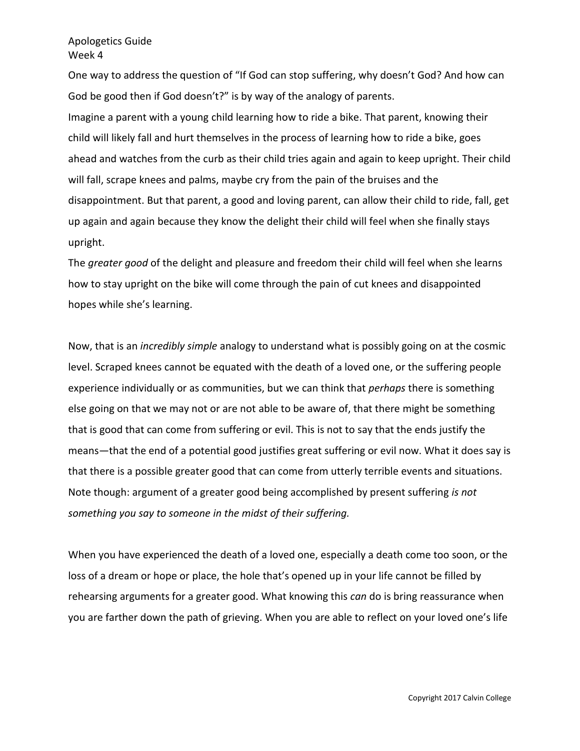One way to address the question of "If God can stop suffering, why doesn't God? And how can God be good then if God doesn't?" is by way of the analogy of parents. Imagine a parent with a young child learning how to ride a bike. That parent, knowing their child will likely fall and hurt themselves in the process of learning how to ride a bike, goes ahead and watches from the curb as their child tries again and again to keep upright. Their child will fall, scrape knees and palms, maybe cry from the pain of the bruises and the disappointment. But that parent, a good and loving parent, can allow their child to ride, fall, get up again and again because they know the delight their child will feel when she finally stays upright.

The *greater good* of the delight and pleasure and freedom their child will feel when she learns how to stay upright on the bike will come through the pain of cut knees and disappointed hopes while she's learning.

Now, that is an *incredibly simple* analogy to understand what is possibly going on at the cosmic level. Scraped knees cannot be equated with the death of a loved one, or the suffering people experience individually or as communities, but we can think that *perhaps* there is something else going on that we may not or are not able to be aware of, that there might be something that is good that can come from suffering or evil. This is not to say that the ends justify the means—that the end of a potential good justifies great suffering or evil now. What it does say is that there is a possible greater good that can come from utterly terrible events and situations. Note though: argument of a greater good being accomplished by present suffering *is not something you say to someone in the midst of their suffering.* 

When you have experienced the death of a loved one, especially a death come too soon, or the loss of a dream or hope or place, the hole that's opened up in your life cannot be filled by rehearsing arguments for a greater good. What knowing this *can* do is bring reassurance when you are farther down the path of grieving. When you are able to reflect on your loved one's life

Copyright 2017 Calvin College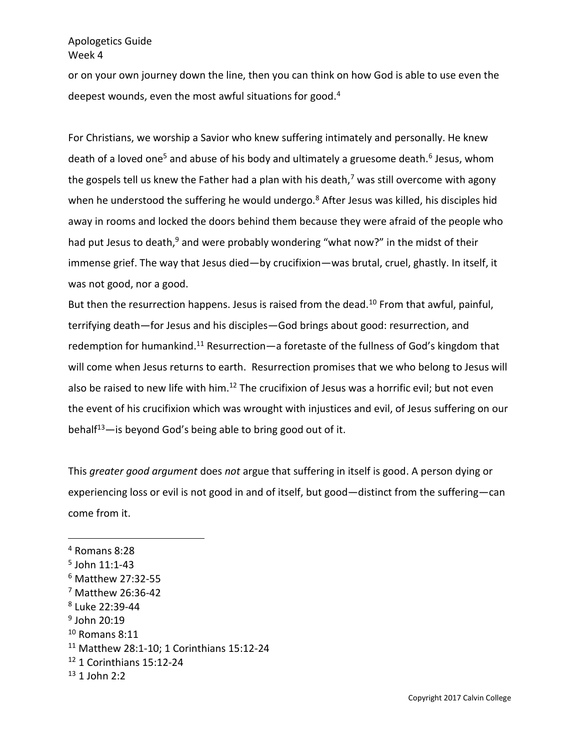or on your own journey down the line, then you can think on how God is able to use even the deepest wounds, even the most awful situations for good.<sup>4</sup>

For Christians, we worship a Savior who knew suffering intimately and personally. He knew death of a loved one<sup>5</sup> and abuse of his body and ultimately a gruesome death.<sup>6</sup> Jesus, whom the gospels tell us knew the Father had a plan with his death,<sup>7</sup> was still overcome with agony when he understood the suffering he would undergo.<sup>8</sup> After Jesus was killed, his disciples hid away in rooms and locked the doors behind them because they were afraid of the people who had put Jesus to death, $9$  and were probably wondering "what now?" in the midst of their immense grief. The way that Jesus died—by crucifixion—was brutal, cruel, ghastly. In itself, it was not good, nor a good.

But then the resurrection happens. Jesus is raised from the dead.<sup>10</sup> From that awful, painful, terrifying death—for Jesus and his disciples—God brings about good: resurrection, and redemption for humankind.<sup>11</sup> Resurrection—a foretaste of the fullness of God's kingdom that will come when Jesus returns to earth. Resurrection promises that we who belong to Jesus will also be raised to new life with him.<sup>12</sup> The crucifixion of Jesus was a horrific evil; but not even the event of his crucifixion which was wrought with injustices and evil, of Jesus suffering on our behalf<sup>13</sup>—is beyond God's being able to bring good out of it.

This *greater good argument* does *not* argue that suffering in itself is good. A person dying or experiencing loss or evil is not good in and of itself, but good—distinct from the suffering—can come from it.

 $\overline{a}$ 

9 John 20:19

<sup>4</sup> Romans 8:28

<sup>5</sup> John 11:1-43

<sup>6</sup> Matthew 27:32-55

<sup>7</sup> Matthew 26:36-42

<sup>8</sup> Luke 22:39-44

 $10$  Romans 8:11

<sup>11</sup> Matthew 28:1-10; 1 Corinthians 15:12-24

<sup>12</sup> 1 Corinthians 15:12-24

 $13$  1 John 2:2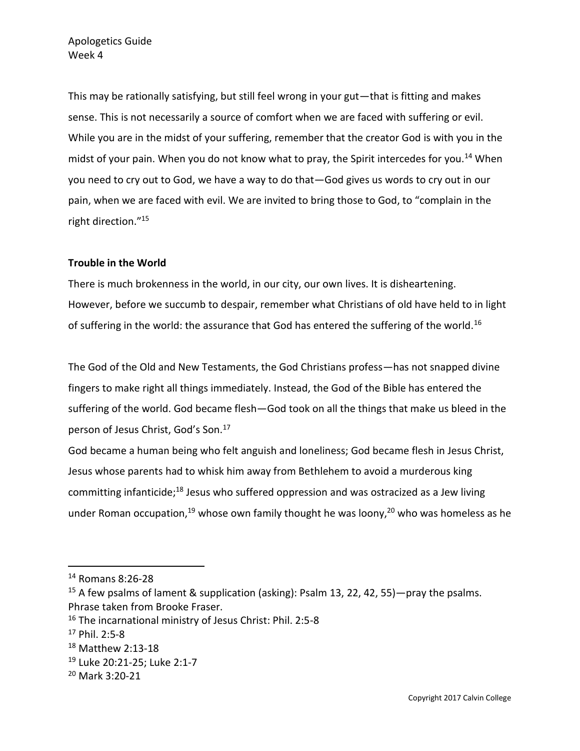This may be rationally satisfying, but still feel wrong in your gut—that is fitting and makes sense. This is not necessarily a source of comfort when we are faced with suffering or evil. While you are in the midst of your suffering, remember that the creator God is with you in the midst of your pain. When you do not know what to pray, the Spirit intercedes for you.<sup>14</sup> When you need to cry out to God, we have a way to do that—God gives us words to cry out in our pain, when we are faced with evil. We are invited to bring those to God, to "complain in the right direction."<sup>15</sup>

## **Trouble in the World**

There is much brokenness in the world, in our city, our own lives. It is disheartening. However, before we succumb to despair, remember what Christians of old have held to in light of suffering in the world: the assurance that God has entered the suffering of the world.<sup>16</sup>

The God of the Old and New Testaments, the God Christians profess—has not snapped divine fingers to make right all things immediately. Instead, the God of the Bible has entered the suffering of the world. God became flesh—God took on all the things that make us bleed in the person of Jesus Christ, God's Son.<sup>17</sup>

God became a human being who felt anguish and loneliness; God became flesh in Jesus Christ, Jesus whose parents had to whisk him away from Bethlehem to avoid a murderous king committing infanticide;<sup>18</sup> Jesus who suffered oppression and was ostracized as a Jew living under Roman occupation,<sup>19</sup> whose own family thought he was loony,<sup>20</sup> who was homeless as he

<sup>14</sup> Romans 8:26-28

<sup>15</sup> A few psalms of lament & supplication (asking): Psalm 13, 22, 42, 55)—pray the psalms. Phrase taken from Brooke Fraser.

<sup>16</sup> The incarnational ministry of Jesus Christ: Phil. 2:5-8

<sup>17</sup> Phil. 2:5-8

<sup>18</sup> Matthew 2:13-18

<sup>19</sup> Luke 20:21-25; Luke 2:1-7

<sup>20</sup> Mark 3:20-21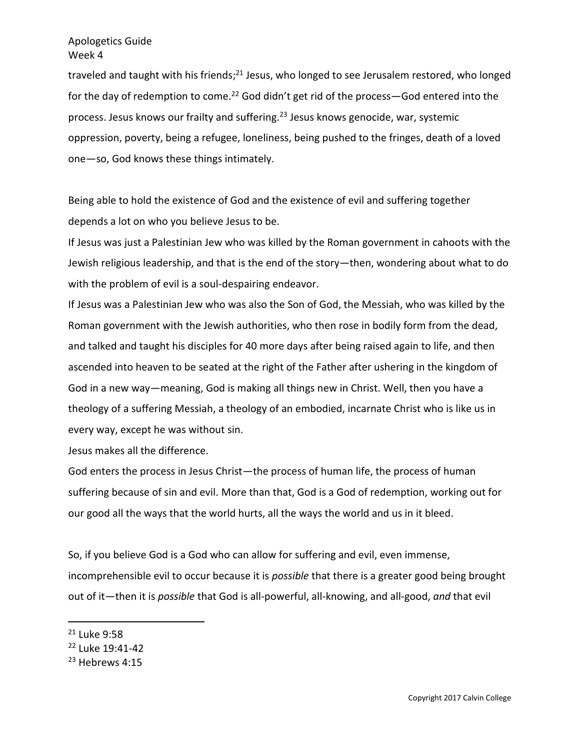traveled and taught with his friends;<sup>21</sup> Jesus, who longed to see Jerusalem restored, who longed for the day of redemption to come.<sup>22</sup> God didn't get rid of the process—God entered into the process. Jesus knows our frailty and suffering.<sup>23</sup> Jesus knows genocide, war, systemic oppression, poverty, being a refugee, loneliness, being pushed to the fringes, death of a loved one—so, God knows these things intimately.

Being able to hold the existence of God and the existence of evil and suffering together depends a lot on who you believe Jesus to be.

If Jesus was just a Palestinian Jew who was killed by the Roman government in cahoots with the Jewish religious leadership, and that is the end of the story—then, wondering about what to do with the problem of evil is a soul-despairing endeavor.

If Jesus was a Palestinian Jew who was also the Son of God, the Messiah, who was killed by the Roman government with the Jewish authorities, who then rose in bodily form from the dead, and talked and taught his disciples for 40 more days after being raised again to life, and then ascended into heaven to be seated at the right of the Father after ushering in the kingdom of God in a new way—meaning, God is making all things new in Christ. Well, then you have a theology of a suffering Messiah, a theology of an embodied, incarnate Christ who is like us in every way, except he was without sin.

Jesus makes all the difference.

God enters the process in Jesus Christ—the process of human life, the process of human suffering because of sin and evil. More than that, God is a God of redemption, working out for our good all the ways that the world hurts, all the ways the world and us in it bleed.

So, if you believe God is a God who can allow for suffering and evil, even immense, incomprehensible evil to occur because it is *possible* that there is a greater good being brought out of it—then it is *possible* that God is all-powerful, all-knowing, and all-good, *and* that evil

<sup>21</sup> Luke 9:58

<sup>&</sup>lt;sup>22</sup> Luke 19:41-42

<sup>&</sup>lt;sup>23</sup> Hebrews 4:15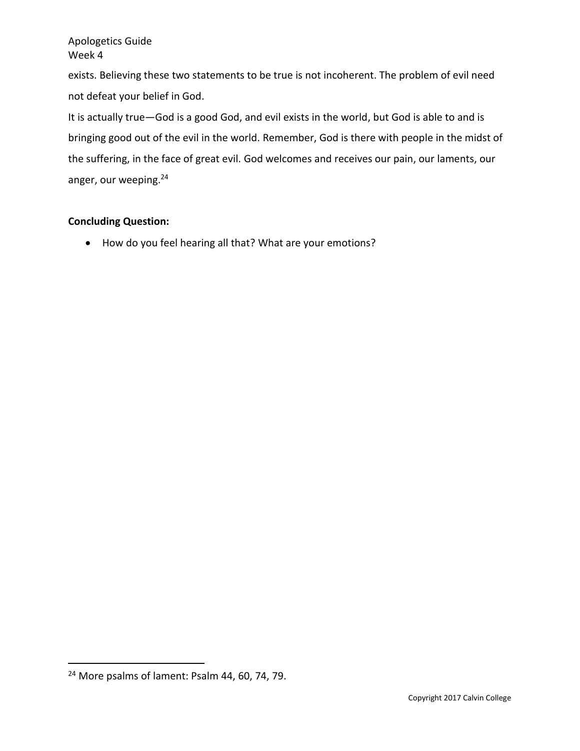exists. Believing these two statements to be true is not incoherent. The problem of evil need not defeat your belief in God.

It is actually true—God is a good God, and evil exists in the world, but God is able to and is bringing good out of the evil in the world. Remember, God is there with people in the midst of the suffering, in the face of great evil. God welcomes and receives our pain, our laments, our anger, our weeping.<sup>24</sup>

# **Concluding Question:**

• How do you feel hearing all that? What are your emotions?

<sup>&</sup>lt;sup>24</sup> More psalms of lament: Psalm 44, 60, 74, 79.